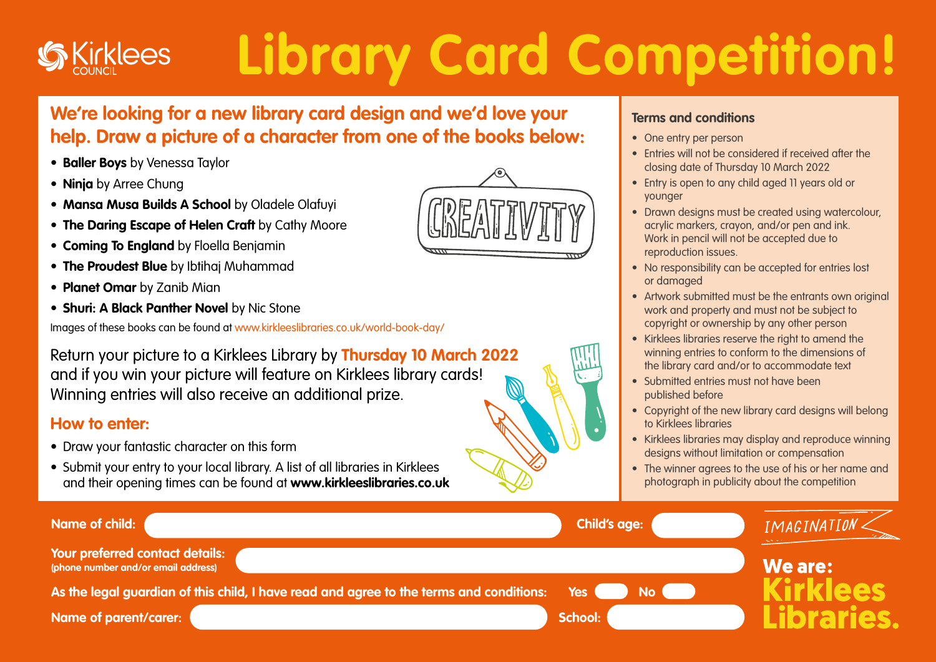## **Library Card Competition! klees**

## **We're looking for a new library card design and we'd love your help. Draw a picture of a character from one of the books below:**

- **• Baller Boys** by Venessa Taylor
- **• Ninja** by Arree Chung
- **• Mansa Musa Builds A School** by Oladele Olafuyi
- **• The Daring Escape of Helen Craft** by Cathy Moore
- **• Coming To England** by Floella Benjamin
- **• The Proudest Blue** by Ibtihaj Muhammad
- **• Planet Omar** by Zanib Mian
- **• Shuri: A Black Panther Novel** by Nic Stone

Images of these books can be found at www.kirkleeslibraries.co.uk/world-book-day/

Return your picture to a Kirklees Library by **Thursday 10 March 2022** and if you win your picture will feature on Kirklees library cards! Winning entries will also receive an additional prize.

## **How to enter:**

- Draw your fantastic character on this form
- Submit your entry to your local library. A list of all libraries in Kirklees and their opening times can be found at **www.kirkleeslibraries.co.uk**



## **Terms and conditions**

- One entry per person
- Entries will not be considered if received after the closing date of Thursday 10 March 2022
- Entry is open to any child aged 11 years old or younger
- Drawn designs must be created using watercolour, acrylic markers, crayon, and/or pen and ink. Work in pencil will not be accepted due to reproduction issues.
- No responsibility can be accepted for entries lost or damaged
- Artwork submitted must be the entrants own original work and property and must not be subject to copyright or ownership by any other person
- Kirklees libraries reserve the right to amend the winning entries to conform to the dimensions of the library card and/or to accommodate text
- Submitted entries must not have been published before
- Copyright of the new library card designs will belong to Kirklees libraries
- Kirklees libraries may display and reproduce winning designs without limitation or compensation
- The winner agrees to the use of his or her name and photograph in publicity about the competition

| Name of child:                                                                          | <b>Child's age:</b> | IMAGINATION |
|-----------------------------------------------------------------------------------------|---------------------|-------------|
| Your preferred contact details:<br>(phone number and/or email address)                  |                     | We are:     |
| As the legal guardian of this child, I have read and agree to the terms and conditions: | No de la<br>Yes (   | irklees     |
| <b>Name of parent/carer:</b>                                                            | <b>School:</b>      | libraries.  |